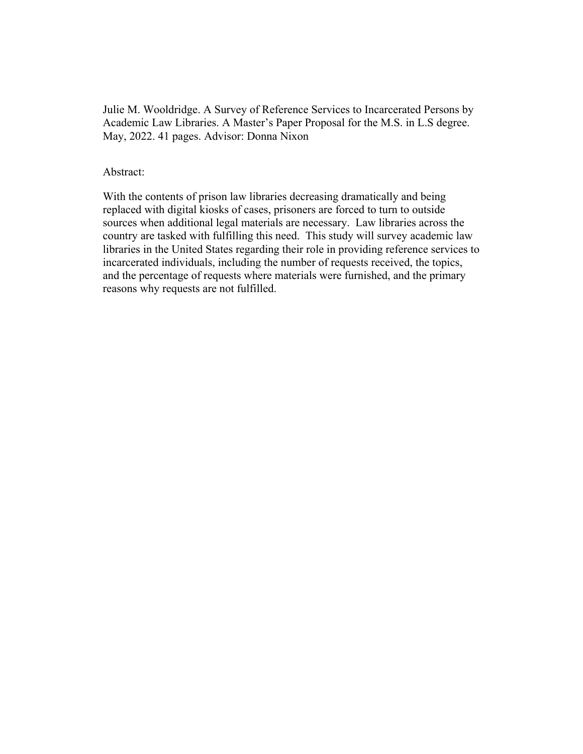Julie M. Wooldridge. A Survey of Reference Services to Incarcerated Persons by Academic Law Libraries. A Master's Paper Proposal for the M.S. in L.S degree. May, 2022. 41 pages. Advisor: Donna Nixon

#### Abstract:

With the contents of prison law libraries decreasing dramatically and being replaced with digital kiosks of cases, prisoners are forced to turn to outside sources when additional legal materials are necessary. Law libraries across the country are tasked with fulfilling this need. This study will survey academic law libraries in the United States regarding their role in providing reference services to incarcerated individuals, including the number of requests received, the topics, and the percentage of requests where materials were furnished, and the primary reasons why requests are not fulfilled.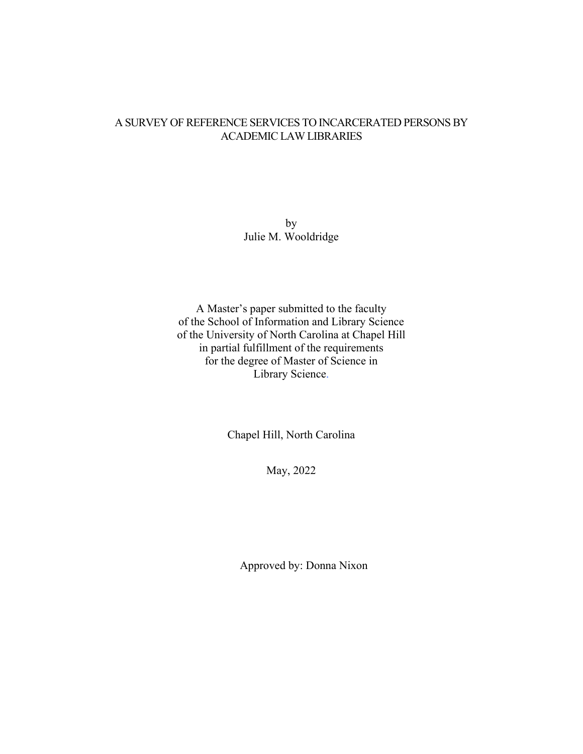## A SURVEY OF REFERENCE SERVICES TO INCARCERATED PERSONS BY ACADEMIC LAW LIBRARIES

by Julie M. Wooldridge

A Master's paper submitted to the faculty of the School of Information and Library Science of the University of North Carolina at Chapel Hill in partial fulfillment of the requirements for the degree of Master of Science in Library Science.

Chapel Hill, North Carolina

May, 2022

Approved by: Donna Nixon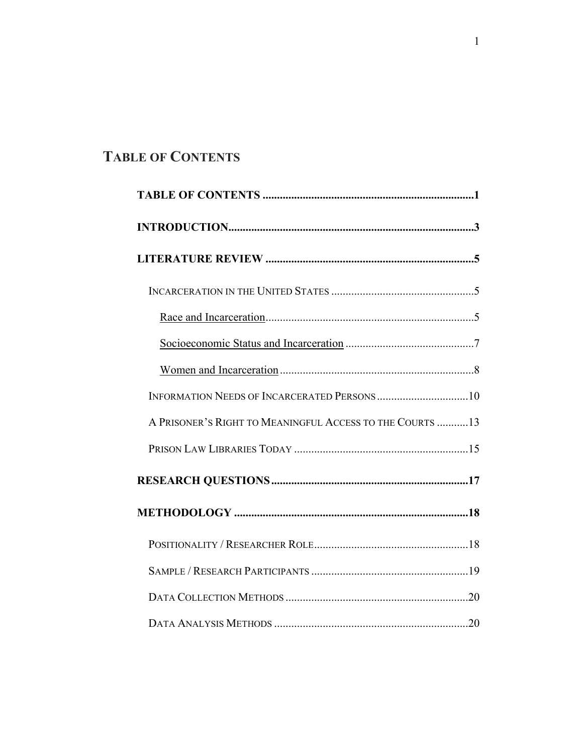## **TABLE OF CONTENTS**

| A PRISONER'S RIGHT TO MEANINGFUL ACCESS TO THE COURTS  13 |
|-----------------------------------------------------------|
|                                                           |
|                                                           |
|                                                           |
|                                                           |
|                                                           |
|                                                           |
|                                                           |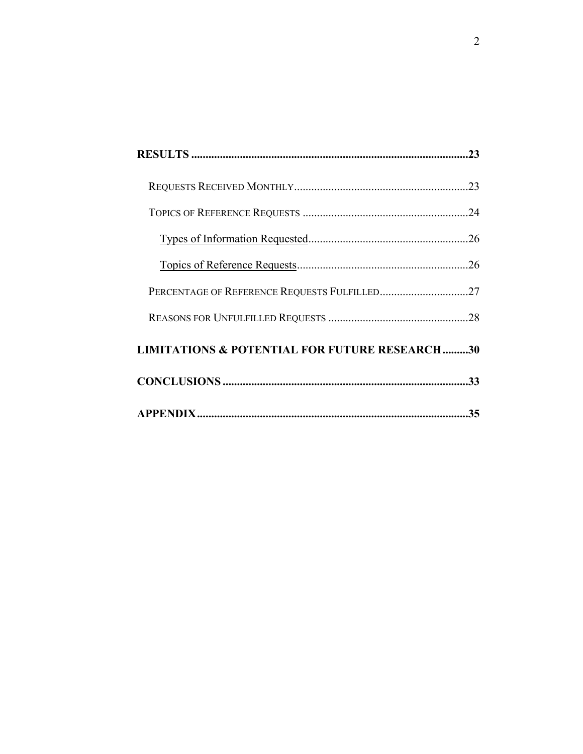| <b>LIMITATIONS &amp; POTENTIAL FOR FUTURE RESEARCH30</b> |  |
|----------------------------------------------------------|--|
|                                                          |  |
|                                                          |  |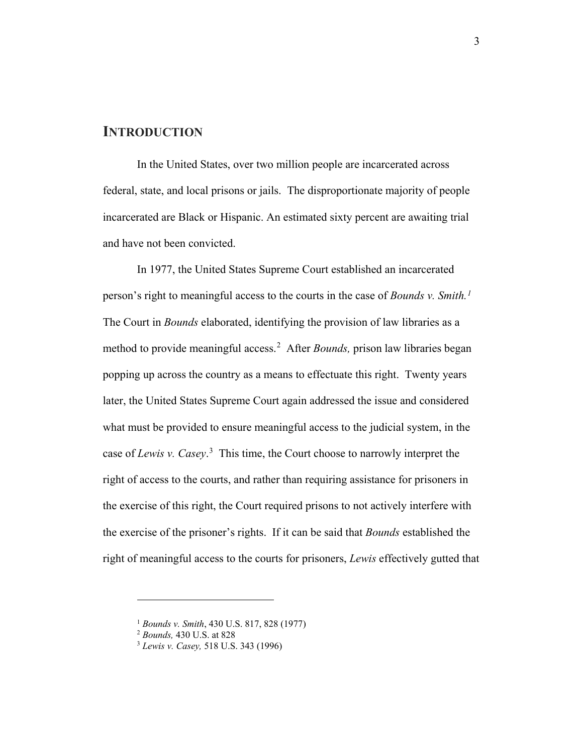#### **INTRODUCTION**

In the United States, over two million people are incarcerated across federal, state, and local prisons or jails. The disproportionate majority of people incarcerated are Black or Hispanic. An estimated sixty percent are awaiting trial and have not been convicted.

In 1977, the United States Supreme Court established an incarcerated person's right to meaningful access to the courts in the case of *Bounds v. Smith. [1](#page-4-0)* The Court in *Bounds* elaborated, identifying the provision of law libraries as a method to provide meaningful access.<sup>[2](#page-4-1)</sup> After *Bounds*, prison law libraries began popping up across the country as a means to effectuate this right. Twenty years later, the United States Supreme Court again addressed the issue and considered what must be provided to ensure meaningful access to the judicial system, in the case of *Lewis v. Casey*. [3](#page-4-2) This time, the Court choose to narrowly interpret the right of access to the courts, and rather than requiring assistance for prisoners in the exercise of this right, the Court required prisons to not actively interfere with the exercise of the prisoner's rights. If it can be said that *Bounds* established the right of meaningful access to the courts for prisoners, *Lewis* effectively gutted that

<span id="page-4-1"></span><span id="page-4-0"></span><sup>1</sup> *Bounds v. Smith*, 430 U.S. 817, 828 (1977)

<sup>2</sup> *Bounds,* 430 U.S. at 828

<span id="page-4-2"></span><sup>3</sup> *Lewis v. Casey,* 518 U.S. 343 (1996)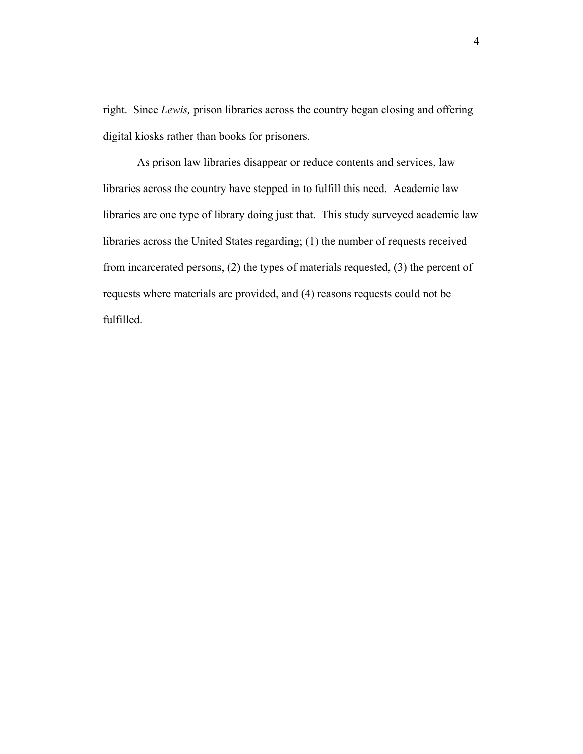right. Since *Lewis,* prison libraries across the country began closing and offering digital kiosks rather than books for prisoners.

As prison law libraries disappear or reduce contents and services, law libraries across the country have stepped in to fulfill this need. Academic law libraries are one type of library doing just that. This study surveyed academic law libraries across the United States regarding; (1) the number of requests received from incarcerated persons, (2) the types of materials requested, (3) the percent of requests where materials are provided, and (4) reasons requests could not be fulfilled.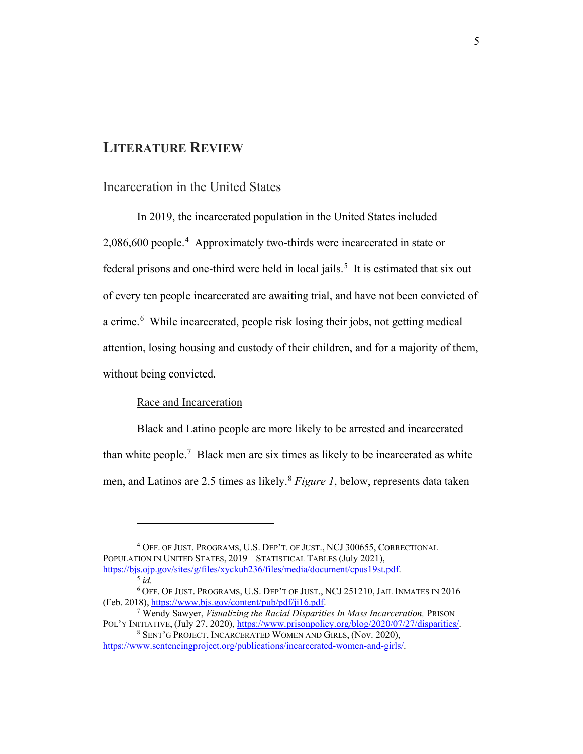## **LITERATURE REVIEW**

## Incarceration in the United States

In 2019, the incarcerated population in the United States included 2,086,600 people.<sup>[4](#page-6-0)</sup> Approximately two-thirds were incarcerated in state or federal prisons and one-third were held in local jails.<sup>[5](#page-6-1)</sup> It is estimated that six out of every ten people incarcerated are awaiting trial, and have not been convicted of a crime.<sup>[6](#page-6-2)</sup> While incarcerated, people risk losing their jobs, not getting medical attention, losing housing and custody of their children, and for a majority of them, without being convicted.

#### Race and Incarceration

Black and Latino people are more likely to be arrested and incarcerated than white people.<sup>[7](#page-6-3)</sup> Black men are six times as likely to be incarcerated as white men, and Latinos are 2.5 times as likely.[8](#page-6-4) *Figure 1*, below, represents data taken

<span id="page-6-0"></span><sup>4</sup> OFF. OF JUST. PROGRAMS, U.S. DEP'T. OF JUST., NCJ 300655, CORRECTIONAL POPULATION IN UNITED STATES, 2019 – STATISTICAL TABLES (July 2021), [https://bjs.ojp.gov/sites/g/files/xyckuh236/files/media/document/cpus19st.pdf.](https://bjs.ojp.gov/sites/g/files/xyckuh236/files/media/document/cpus19st.pdf) 5 *id.*

<span id="page-6-2"></span><span id="page-6-1"></span><sup>6</sup> OFF. OF JUST. PROGRAMS, U.S. DEP'T OF JUST., NCJ 251210, JAIL INMATES IN 2016 (Feb. 2018), [https://www.bjs.gov/content/pub/pdf/ji16.pdf.](https://www.bjs.gov/content/pub/pdf/ji16.pdf)

<span id="page-6-3"></span><sup>7</sup> Wendy Sawyer, *Visualizing the Racial Disparities In Mass Incarceration,* PRISON POL'Y INITIATIVE, (July 27, 2020), https://www.prisonpolicy.org/blog/2020/07/27/disparities/.<br><sup>8</sup> SENT'G PROJECT, INCARCERATED WOMEN AND GIRLS, (Nov. 2020),

<span id="page-6-4"></span>[https://www.sentencingproject.org/publications/incarcerated-women-and-girls/.](https://www.sentencingproject.org/publications/incarcerated-women-and-girls/)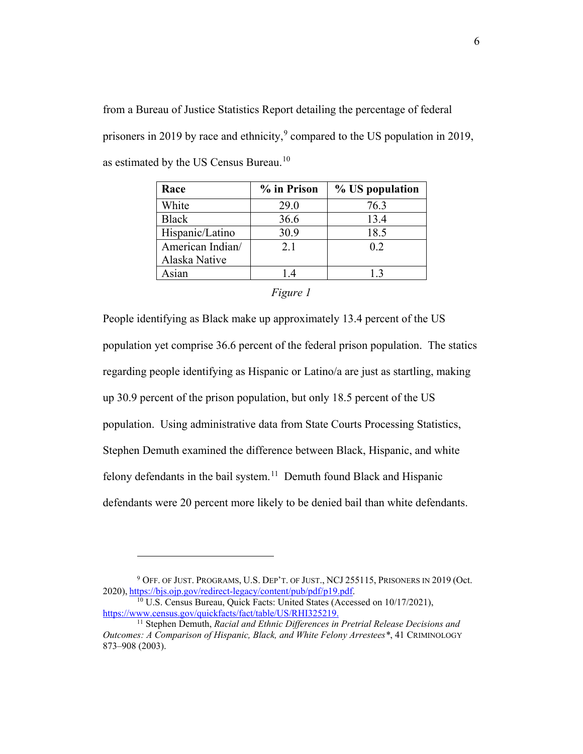from a Bureau of Justice Statistics Report detailing the percentage of federal prisoners in 201[9](#page-7-0) by race and ethnicity,<sup>9</sup> compared to the US population in 2019, as estimated by the US Census Bureau.<sup>[10](#page-7-1)</sup>

| % in Prison | % US population |
|-------------|-----------------|
| 29.0        | 76.3            |
| 36.6        | 13.4            |
| 30.9        | 18.5            |
| 2.1         | 0.2             |
|             |                 |
| 14          | 1.3             |
|             |                 |

*Figure 1*

People identifying as Black make up approximately 13.4 percent of the US population yet comprise 36.6 percent of the federal prison population. The statics regarding people identifying as Hispanic or Latino/a are just as startling, making up 30.9 percent of the prison population, but only 18.5 percent of the US population. Using administrative data from State Courts Processing Statistics, Stephen Demuth examined the difference between Black, Hispanic, and white felony defendants in the bail system.<sup>11</sup> Demuth found Black and Hispanic defendants were 20 percent more likely to be denied bail than white defendants.

<span id="page-7-0"></span><sup>9</sup> OFF. OF JUST. PROGRAMS, U.S. DEP'T. OF JUST., NCJ 255115, PRISONERS IN 2019 (Oct. 2020), [https://bjs.ojp.gov/redirect-legacy/content/pub/pdf/p19.pdf.](https://bjs.ojp.gov/redirect-legacy/content/pub/pdf/p19.pdf)

<span id="page-7-1"></span><sup>&</sup>lt;sup>10</sup> U.S. Census Bureau, Quick Facts: United States (Accessed on 10/17/2021), https://www.census.gov/quickfacts/fact/table/US/RHI325219.

<span id="page-7-2"></span><sup>&</sup>lt;sup>11</sup> Stephen Demuth, *Racial and Ethnic Differences in Pretrial Release Decisions and Outcomes: A Comparison of Hispanic, Black, and White Felony Arrestees\**, 41 CRIMINOLOGY 873–908 (2003).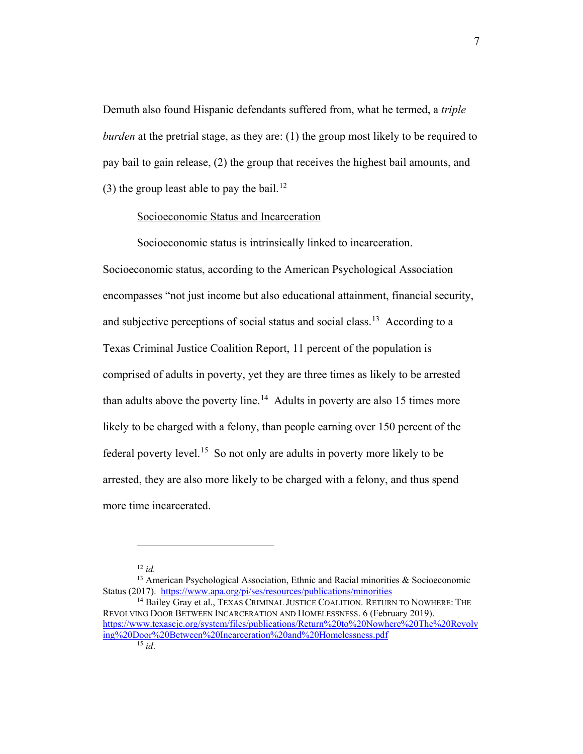Demuth also found Hispanic defendants suffered from, what he termed, a *triple burden* at the pretrial stage, as they are: (1) the group most likely to be required to pay bail to gain release, (2) the group that receives the highest bail amounts, and (3) the group least able to pay the bail.<sup>[12](#page-8-0)</sup>

#### Socioeconomic Status and Incarceration

Socioeconomic status is intrinsically linked to incarceration. Socioeconomic status, according to the American Psychological Association encompasses "not just income but also educational attainment, financial security, and subjective perceptions of social status and social class.<sup>13</sup> According to a Texas Criminal Justice Coalition Report, 11 percent of the population is comprised of adults in poverty, yet they are three times as likely to be arrested than adults above the poverty line.<sup>14</sup> Adults in poverty are also 15 times more likely to be charged with a felony, than people earning over 150 percent of the federal poverty level.<sup>15</sup> So not only are adults in poverty more likely to be arrested, they are also more likely to be charged with a felony, and thus spend more time incarcerated.

<sup>12</sup> *id.*

<span id="page-8-1"></span><span id="page-8-0"></span><sup>&</sup>lt;sup>13</sup> American Psychological Association, Ethnic and Racial minorities & Socioeconomic Status (2017). <https://www.apa.org/pi/ses/resources/publications/minorities>

<span id="page-8-3"></span><span id="page-8-2"></span><sup>&</sup>lt;sup>14</sup> Bailey Gray et al., TEXAS CRIMINAL JUSTICE COALITION. RETURN TO NOWHERE: THE REVOLVING DOOR BETWEEN INCARCERATION AND HOMELESSNESS. 6 (February 2019). [https://www.texascjc.org/system/files/publications/Return%20to%20Nowhere%20The%20Revolv](https://www.texascjc.org/system/files/publications/Return%20to%20Nowhere%20The%20Revolving%20Door%20Between%20Incarceration%20and%20Homelessness.pdf) [ing%20Door%20Between%20Incarceration%20and%20Homelessness.pdf](https://www.texascjc.org/system/files/publications/Return%20to%20Nowhere%20The%20Revolving%20Door%20Between%20Incarceration%20and%20Homelessness.pdf)  $\overline{15}$  *id.*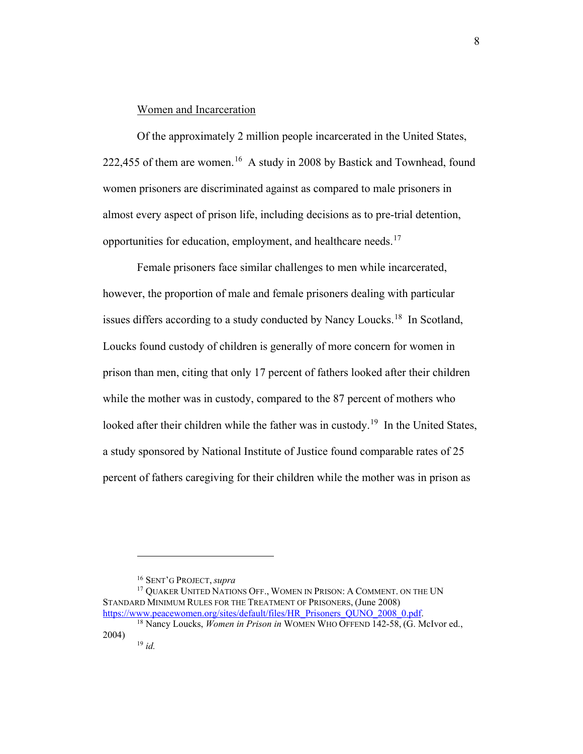#### Women and Incarceration

Of the approximately 2 million people incarcerated in the United States, 222,455 of them are women.<sup>16</sup> A study in 2008 by Bastick and Townhead, found women prisoners are discriminated against as compared to male prisoners in almost every aspect of prison life, including decisions as to pre-trial detention, opportunities for education, employment, and healthcare needs.[17](#page-9-1)

Female prisoners face similar challenges to men while incarcerated, however, the proportion of male and female prisoners dealing with particular issues differs according to a study conducted by Nancy Loucks.<sup>[18](#page-9-2)</sup> In Scotland, Loucks found custody of children is generally of more concern for women in prison than men, citing that only 17 percent of fathers looked after their children while the mother was in custody, compared to the 87 percent of mothers who looked after their children while the father was in custody.<sup>[19](#page-9-3)</sup> In the United States, a study sponsored by National Institute of Justice found comparable rates of 25 percent of fathers caregiving for their children while the mother was in prison as

<sup>16</sup> SENT'G PROJECT, *supra*

<span id="page-9-1"></span><span id="page-9-0"></span><sup>&</sup>lt;sup>17</sup> OUAKER UNITED NATIONS OFF., WOMEN IN PRISON: A COMMENT. ON THE UN STANDARD MINIMUM RULES FOR THE TREATMENT OF PRISONERS, (June 2008)<br>https://www.peacewomen.org/sites/default/files/HR Prisoners QUNO 2008 0.pdf.

<span id="page-9-3"></span><span id="page-9-2"></span><sup>&</sup>lt;sup>18</sup> Nancy Loucks, *Women in Prison in* WOMEN WHO OFFEND 142-58, (G. McIvor ed., 2004) <sup>19</sup> *id.*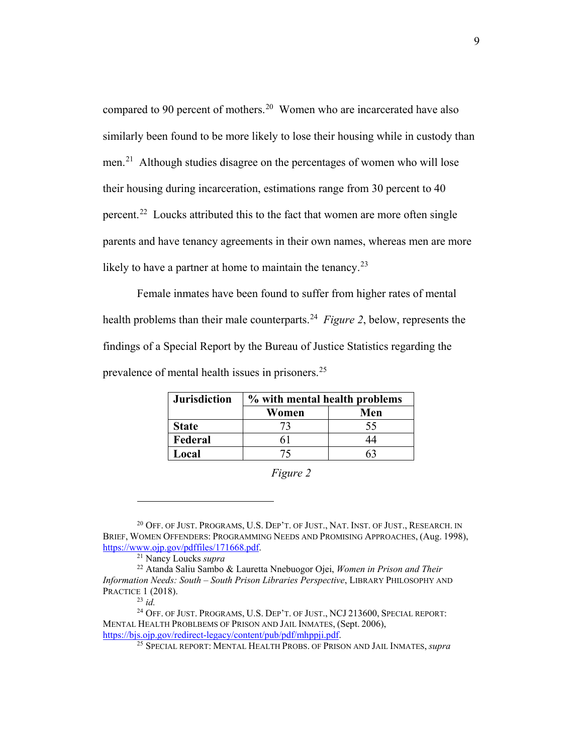compared to 90 percent of mothers.<sup>[20](#page-10-0)</sup> Women who are incarcerated have also similarly been found to be more likely to lose their housing while in custody than men.<sup>[21](#page-10-1)</sup> Although studies disagree on the percentages of women who will lose their housing during incarceration, estimations range from 30 percent to 40 percent.[22](#page-10-2) Loucks attributed this to the fact that women are more often single parents and have tenancy agreements in their own names, whereas men are more likely to have a partner at home to maintain the tenancy.<sup>23</sup>

Female inmates have been found to suffer from higher rates of mental health problems than their male counterparts.[24](#page-10-4) *Figure 2*, below, represents the findings of a Special Report by the Bureau of Justice Statistics regarding the prevalence of mental health issues in prisoners.<sup>[25](#page-10-5)</sup>

| <b>Jurisdiction</b> | % with mental health problems |     |
|---------------------|-------------------------------|-----|
|                     | Women                         | Men |
| <b>State</b>        |                               | 55  |
| Federal             |                               |     |
| Local               |                               |     |

*Figure 2*

<span id="page-10-0"></span><sup>20</sup> OFF. OF JUST. PROGRAMS, U.S. DEP'T. OF JUST., NAT. INST. OF JUST., RESEARCH. IN BRIEF, WOMEN OFFENDERS: PROGRAMMING NEEDS AND PROMISING APPROACHES, (Aug. 1998), [https://www.ojp.gov/pdffiles/171668.pdf.](https://www.ojp.gov/pdffiles/171668.pdf)

<sup>21</sup> Nancy Loucks *supra*

<span id="page-10-2"></span><span id="page-10-1"></span><sup>22</sup> Atanda Saliu Sambo & Lauretta Nnebuogor Ojei, *Women in Prison and Their Information Needs: South – South Prison Libraries Perspective*, LIBRARY PHILOSOPHY AND PRACTICE 1 (2018).

 $^{23}$  *id.* 

<span id="page-10-5"></span><span id="page-10-4"></span><span id="page-10-3"></span><sup>&</sup>lt;sup>24</sup> OFF. OF JUST. PROGRAMS, U.S. DEP'T. OF JUST., NCJ 213600, SPECIAL REPORT: MENTAL HEALTH PROBLBEMS OF PRISON AND JAIL INMATES, (Sept. 2006), [https://bjs.ojp.gov/redirect-legacy/content/pub/pdf/mhppji.pdf.](https://bjs.ojp.gov/redirect-legacy/content/pub/pdf/mhppji.pdf)

<sup>25</sup> SPECIAL REPORT: MENTAL HEALTH PROBS. OF PRISON AND JAIL INMATES, *supra*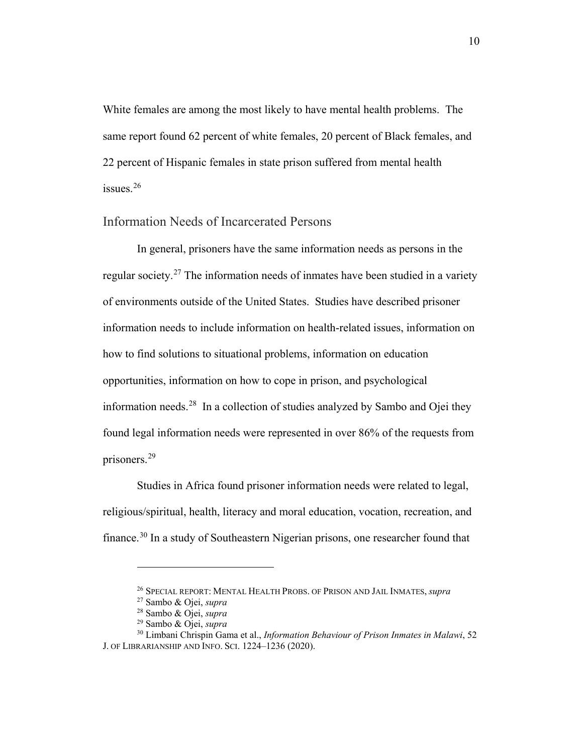White females are among the most likely to have mental health problems. The same report found 62 percent of white females, 20 percent of Black females, and 22 percent of Hispanic females in state prison suffered from mental health issues.<sup>[26](#page-11-0)</sup>

#### Information Needs of Incarcerated Persons

In general, prisoners have the same information needs as persons in the regular society.<sup>[27](#page-11-1)</sup> The information needs of inmates have been studied in a variety of environments outside of the United States. Studies have described prisoner information needs to include information on health-related issues, information on how to find solutions to situational problems, information on education opportunities, information on how to cope in prison, and psychological information needs.[28](#page-11-2) In a collection of studies analyzed by Sambo and Ojei they found legal information needs were represented in over 86% of the requests from prisoners. [29](#page-11-3) 

Studies in Africa found prisoner information needs were related to legal, religious/spiritual, health, literacy and moral education, vocation, recreation, and finance.<sup>[30](#page-11-4)</sup> In a study of Southeastern Nigerian prisons, one researcher found that

<sup>26</sup> SPECIAL REPORT: MENTAL HEALTH PROBS. OF PRISON AND JAIL INMATES, *supra*

<sup>27</sup> Sambo & Ojei, *supra*

<sup>28</sup> Sambo & Ojei, *supra*

<sup>29</sup> Sambo & Ojei, *supra*

<span id="page-11-4"></span><span id="page-11-3"></span><span id="page-11-2"></span><span id="page-11-1"></span><span id="page-11-0"></span><sup>30</sup> Limbani Chrispin Gama et al., *Information Behaviour of Prison Inmates in Malawi*, 52 J. OF LIBRARIANSHIP AND INFO. SCI. 1224–1236 (2020).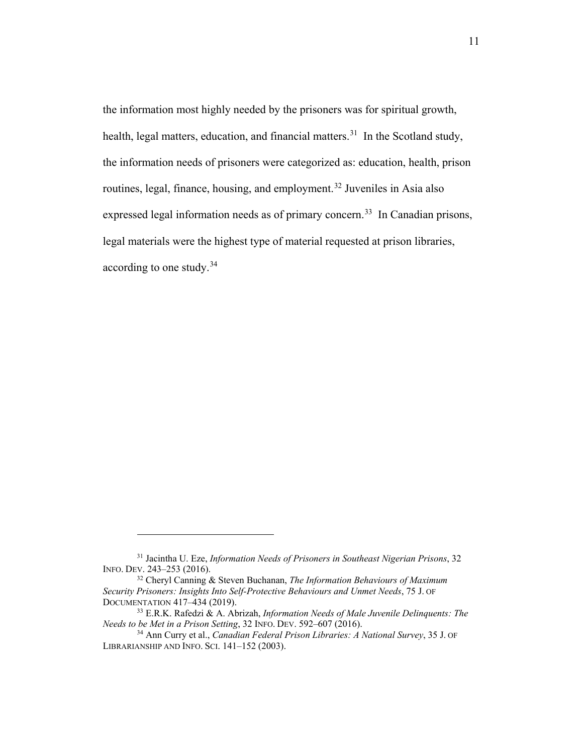the information most highly needed by the prisoners was for spiritual growth, health, legal matters, education, and financial matters.<sup>31</sup> In the Scotland study, the information needs of prisoners were categorized as: education, health, prison routines, legal, finance, housing, and employment. [32](#page-12-1) Juveniles in Asia also expressed legal information needs as of primary concern.<sup>[33](#page-12-2)</sup> In Canadian prisons, legal materials were the highest type of material requested at prison libraries, according to one study.[34](#page-12-3) 

<span id="page-12-0"></span><sup>31</sup> Jacintha U. Eze, *Information Needs of Prisoners in Southeast Nigerian Prisons*, 32 INFO. DEV. 243–253 (2016).

<span id="page-12-1"></span><sup>32</sup> Cheryl Canning & Steven Buchanan, *The Information Behaviours of Maximum Security Prisoners: Insights Into Self-Protective Behaviours and Unmet Needs*, 75 J. OF DOCUMENTATION 417–434 (2019).

<span id="page-12-2"></span><sup>33</sup> E.R.K. Rafedzi & A. Abrizah, *Information Needs of Male Juvenile Delinquents: The Needs to be Met in a Prison Setting*, 32 INFO. DEV. 592–607 (2016).

<span id="page-12-3"></span><sup>34</sup> Ann Curry et al., *Canadian Federal Prison Libraries: A National Survey*, 35 J. OF LIBRARIANSHIP AND INFO. SCI. 141–152 (2003).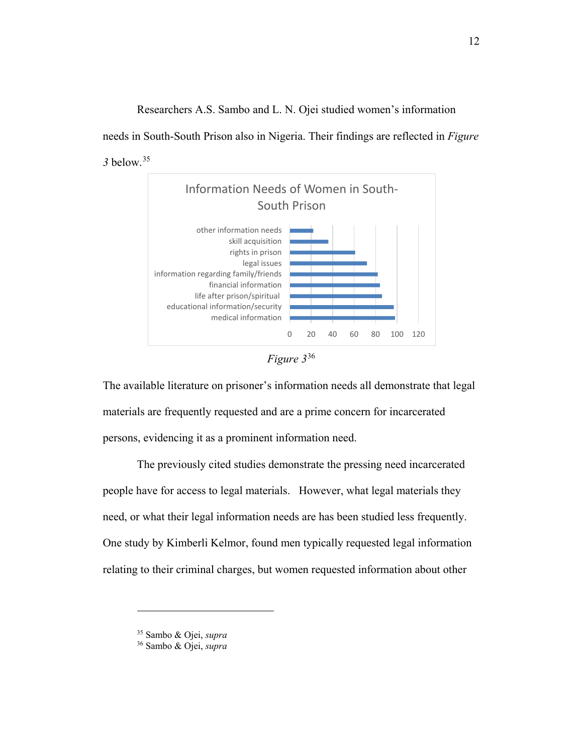Researchers A.S. Sambo and L. N. Ojei studied women's information

needs in South-South Prison also in Nigeria. Their findings are reflected in *Figure 3* below. [35](#page-13-0)



*Figure 3*[36](#page-13-1)

The available literature on prisoner's information needs all demonstrate that legal materials are frequently requested and are a prime concern for incarcerated persons, evidencing it as a prominent information need.

The previously cited studies demonstrate the pressing need incarcerated people have for access to legal materials. However, what legal materials they need, or what their legal information needs are has been studied less frequently. One study by Kimberli Kelmor, found men typically requested legal information relating to their criminal charges, but women requested information about other

<span id="page-13-0"></span><sup>35</sup> Sambo & Ojei, *supra*

<span id="page-13-1"></span><sup>36</sup> Sambo & Ojei, *supra*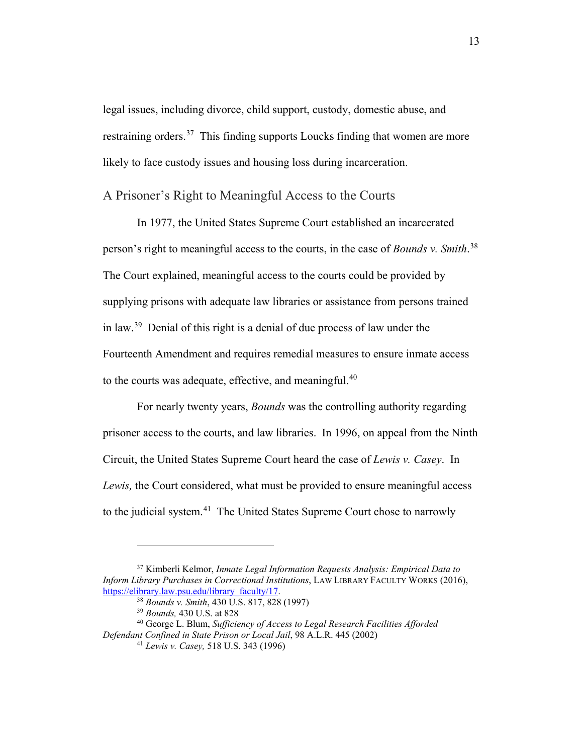legal issues, including divorce, child support, custody, domestic abuse, and restraining orders.<sup>37</sup> This finding supports Loucks finding that women are more likely to face custody issues and housing loss during incarceration.

### A Prisoner's Right to Meaningful Access to the Courts

In 1977, the United States Supreme Court established an incarcerated person's right to meaningful access to the courts, in the case of *Bounds v. Smith*. [38](#page-14-1) The Court explained, meaningful access to the courts could be provided by supplying prisons with adequate law libraries or assistance from persons trained in law.<sup>[39](#page-14-2)</sup> Denial of this right is a denial of due process of law under the Fourteenth Amendment and requires remedial measures to ensure inmate access to the courts was adequate, effective, and meaningful.<sup>[40](#page-14-3)</sup>

For nearly twenty years, *Bounds* was the controlling authority regarding prisoner access to the courts, and law libraries. In 1996, on appeal from the Ninth Circuit, the United States Supreme Court heard the case of *Lewis v. Casey*. In *Lewis,* the Court considered, what must be provided to ensure meaningful access to the judicial system.<sup>41</sup> The United States Supreme Court chose to narrowly

<span id="page-14-0"></span><sup>37</sup> Kimberli Kelmor, *Inmate Legal Information Requests Analysis: Empirical Data to Inform Library Purchases in Correctional Institutions*, LAW LIBRARY FACULTY WORKS (2016), [https://elibrary.law.psu.edu/library\\_faculty/17.](https://elibrary.law.psu.edu/library_faculty/17)

<sup>38</sup> *Bounds v. Smith*, 430 U.S. 817, 828 (1997)

<sup>39</sup> *Bounds,* 430 U.S. at 828

<sup>40</sup> George L. Blum, *Sufficiency of Access to Legal Research Facilities Afforded* 

<span id="page-14-4"></span><span id="page-14-3"></span><span id="page-14-2"></span><span id="page-14-1"></span>*Defendant Confined in State Prison or Local Jail*, 98 A.L.R. 445 (2002)

<sup>41</sup> *Lewis v. Casey,* 518 U.S. 343 (1996)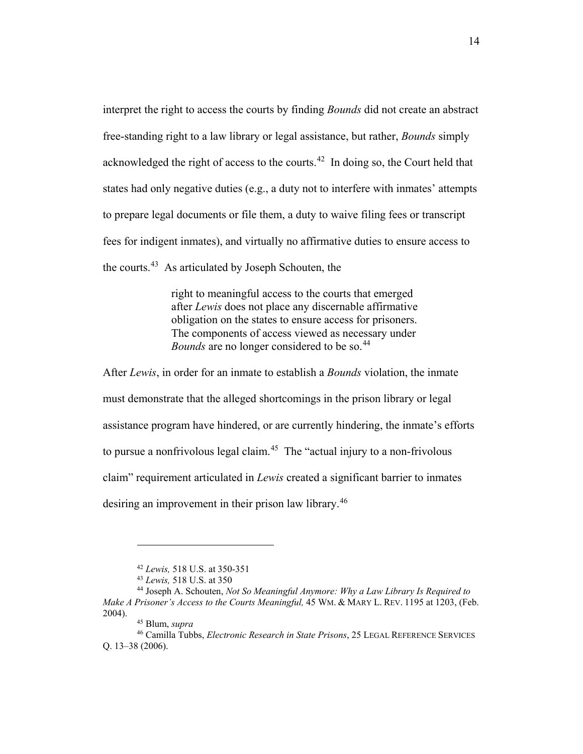interpret the right to access the courts by finding *Bounds* did not create an abstract free-standing right to a law library or legal assistance, but rather, *Bounds* simply acknowledged the right of access to the courts. $42$  In doing so, the Court held that states had only negative duties (e.g., a duty not to interfere with inmates' attempts to prepare legal documents or file them, a duty to waive filing fees or transcript fees for indigent inmates), and virtually no affirmative duties to ensure access to the courts.[43](#page-15-1) As articulated by Joseph Schouten, the

> right to meaningful access to the courts that emerged after *Lewis* does not place any discernable affirmative obligation on the states to ensure access for prisoners. The components of access viewed as necessary under *Bounds* are no longer considered to be so.<sup>[44](#page-15-2)</sup>

After *Lewis*, in order for an inmate to establish a *Bounds* violation, the inmate must demonstrate that the alleged shortcomings in the prison library or legal assistance program have hindered, or are currently hindering, the inmate's efforts to pursue a nonfrivolous legal claim.<sup>45</sup> The "actual injury to a non-frivolous claim" requirement articulated in *Lewis* created a significant barrier to inmates desiring an improvement in their prison law library.<sup>[46](#page-15-4)</sup>

<sup>42</sup> *Lewis,* 518 U.S. at 350-351

<sup>43</sup> *Lewis,* 518 U.S. at 350

<span id="page-15-2"></span><span id="page-15-1"></span><span id="page-15-0"></span><sup>44</sup> Joseph A. Schouten, *Not So Meaningful Anymore: Why a Law Library Is Required to Make A Prisoner's Access to the Courts Meaningful,* 45 WM. & MARY L. REV. 1195 at 1203, (Feb. 2004). 45 Blum, *supra*

<span id="page-15-4"></span><span id="page-15-3"></span><sup>46</sup> Camilla Tubbs, *Electronic Research in State Prisons*, 25 LEGAL REFERENCE SERVICES Q. 13–38 (2006).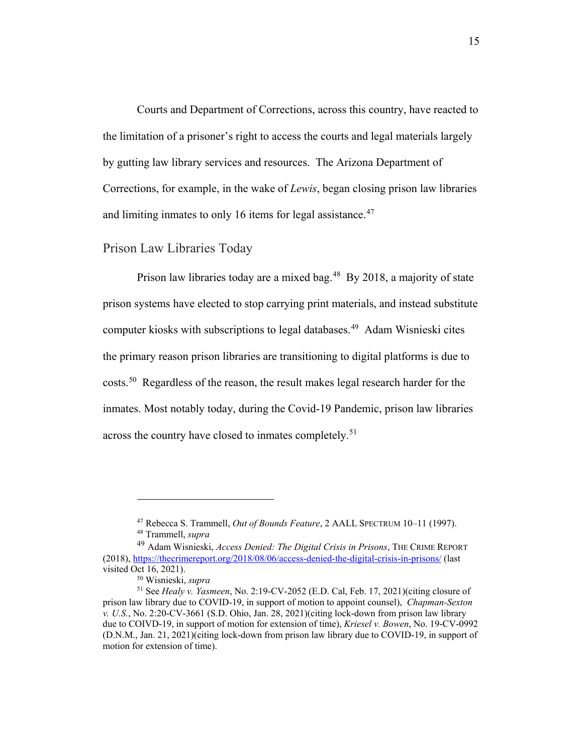Courts and Department of Corrections, across this country, have reacted to the limitation of a prisoner's right to access the courts and legal materials largely by gutting law library services and resources. The Arizona Department of Corrections, for example, in the wake of *Lewis*, began closing prison law libraries and limiting inmates to only 16 items for legal assistance.<sup>[47](#page-16-0)</sup>

Prison Law Libraries Today

Prison law libraries today are a mixed bag.<sup>48</sup> By 2018, a majority of state prison systems have elected to stop carrying print materials, and instead substitute computer kiosks with subscriptions to legal databases.<sup>49</sup> Adam Wisnieski cites the primary reason prison libraries are transitioning to digital platforms is due to costs. [50](#page-16-3) Regardless of the reason, the result makes legal research harder for the inmates. Most notably today, during the Covid-19 Pandemic, prison law libraries across the country have closed to inmates completely.<sup>[51](#page-16-4)</sup>

<sup>47</sup> Rebecca S. Trammell, *Out of Bounds Feature*, 2 AALL SPECTRUM 10–11 (1997). <sup>48</sup> Trammell, *supra*

<span id="page-16-2"></span><span id="page-16-1"></span><span id="page-16-0"></span><sup>49</sup> Adam Wisnieski, *Access Denied: The Digital Crisis in Prisons*, THE CRIME REPORT (2018)[, https://thecrimereport.org/2018/08/06/access-denied-the-digital-crisis-in-prisons/](https://thecrimereport.org/2018/08/06/access-denied-the-digital-crisis-in-prisons/) (last visited Oct 16, 2021).

<sup>50</sup> Wisnieski, *supra*

<span id="page-16-4"></span><span id="page-16-3"></span><sup>51</sup> See *Healy v. Yasmeen*, No. 2:19-CV-2052 (E.D. Cal, Feb. 17, 2021)(citing closure of prison law library due to COVID-19, in support of motion to appoint counsel), *Chapman-Sexton v. U.S.*, No. 2:20-CV-3661 (S.D. Ohio, Jan. 28, 2021)(citing lock-down from prison law library due to COIVD-19, in support of motion for extension of time), *Kriesel v. Bowen*, No. 19-CV-0992 (D.N.M., Jan. 21, 2021)(citing lock-down from prison law library due to COVID-19, in support of motion for extension of time).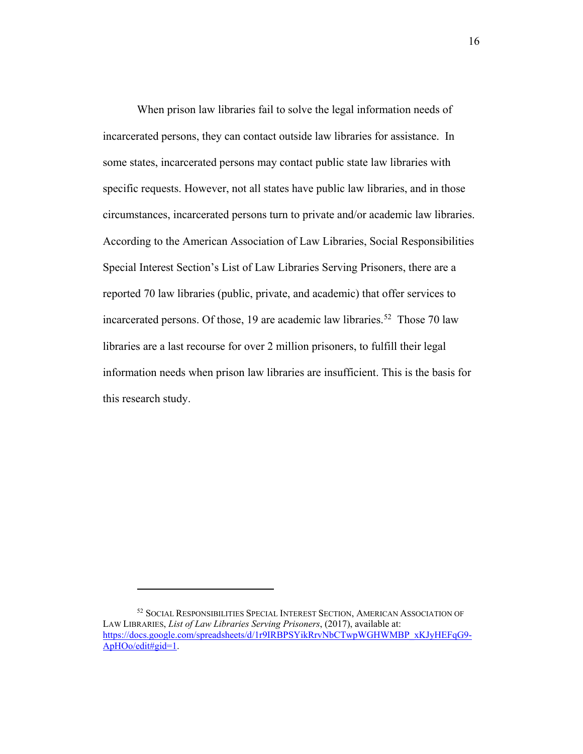When prison law libraries fail to solve the legal information needs of incarcerated persons, they can contact outside law libraries for assistance. In some states, incarcerated persons may contact public state law libraries with specific requests. However, not all states have public law libraries, and in those circumstances, incarcerated persons turn to private and/or academic law libraries. According to the American Association of Law Libraries, Social Responsibilities Special Interest Section's List of Law Libraries Serving Prisoners, there are a reported 70 law libraries (public, private, and academic) that offer services to incarcerated persons. Of those, 19 are academic law libraries. [52](#page-17-0) Those 70 law libraries are a last recourse for over 2 million prisoners, to fulfill their legal information needs when prison law libraries are insufficient. This is the basis for this research study.

<span id="page-17-0"></span><sup>52</sup> SOCIAL RESPONSIBILITIES SPECIAL INTEREST SECTION, AMERICAN ASSOCIATION OF LAW LIBRARIES, *List of Law Libraries Serving Prisoners*, (2017), available at: [https://docs.google.com/spreadsheets/d/1r9IRBPSYikRrvNbCTwpWGHWMBP\\_xKJyHEFqG9-](https://docs.google.com/spreadsheets/d/1r9IRBPSYikRrvNbCTwpWGHWMBP_xKJyHEFqG9-ApHOo/edit#gid=1) [ApHOo/edit#gid=1.](https://docs.google.com/spreadsheets/d/1r9IRBPSYikRrvNbCTwpWGHWMBP_xKJyHEFqG9-ApHOo/edit#gid=1)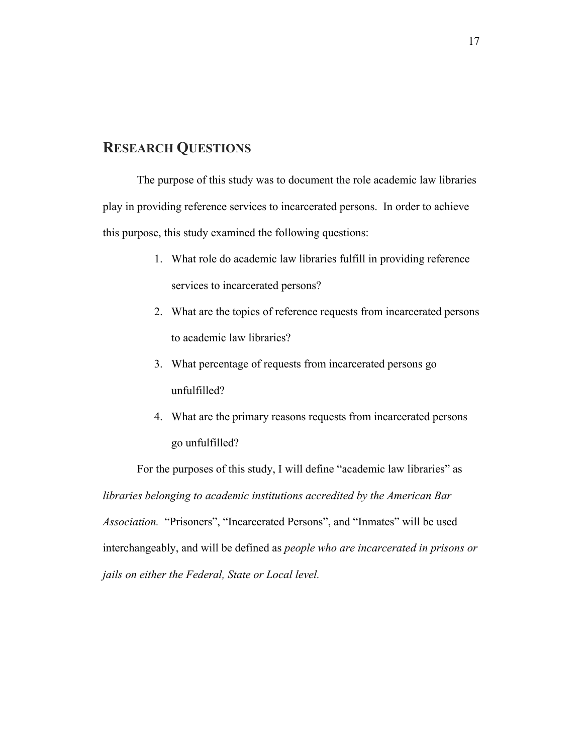## **RESEARCH QUESTIONS**

The purpose of this study was to document the role academic law libraries play in providing reference services to incarcerated persons. In order to achieve this purpose, this study examined the following questions:

- 1. What role do academic law libraries fulfill in providing reference services to incarcerated persons?
- 2. What are the topics of reference requests from incarcerated persons to academic law libraries?
- 3. What percentage of requests from incarcerated persons go unfulfilled?
- 4. What are the primary reasons requests from incarcerated persons go unfulfilled?

For the purposes of this study, I will define "academic law libraries" as *libraries belonging to academic institutions accredited by the American Bar Association.* "Prisoners", "Incarcerated Persons", and "Inmates" will be used interchangeably, and will be defined as *people who are incarcerated in prisons or jails on either the Federal, State or Local level.*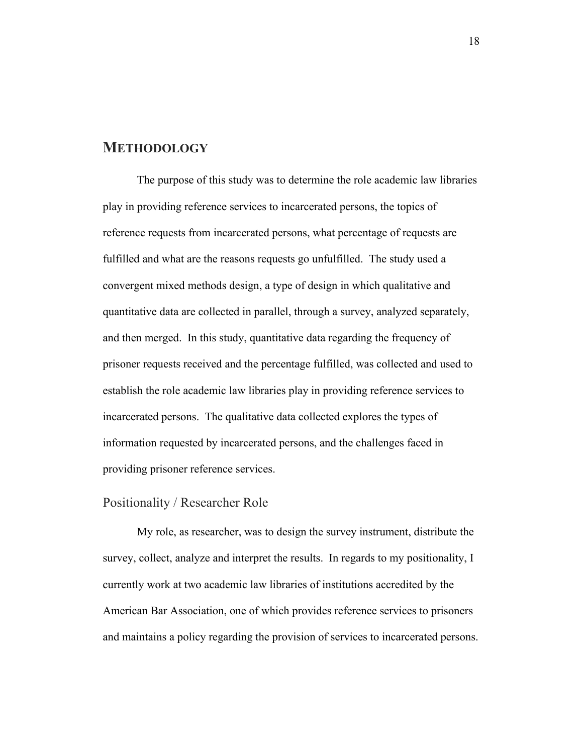## **METHODOLOGY**

The purpose of this study was to determine the role academic law libraries play in providing reference services to incarcerated persons, the topics of reference requests from incarcerated persons, what percentage of requests are fulfilled and what are the reasons requests go unfulfilled. The study used a convergent mixed methods design, a type of design in which qualitative and quantitative data are collected in parallel, through a survey, analyzed separately, and then merged. In this study, quantitative data regarding the frequency of prisoner requests received and the percentage fulfilled, was collected and used to establish the role academic law libraries play in providing reference services to incarcerated persons. The qualitative data collected explores the types of information requested by incarcerated persons, and the challenges faced in providing prisoner reference services.

## Positionality / Researcher Role

My role, as researcher, was to design the survey instrument, distribute the survey, collect, analyze and interpret the results. In regards to my positionality, I currently work at two academic law libraries of institutions accredited by the American Bar Association, one of which provides reference services to prisoners and maintains a policy regarding the provision of services to incarcerated persons.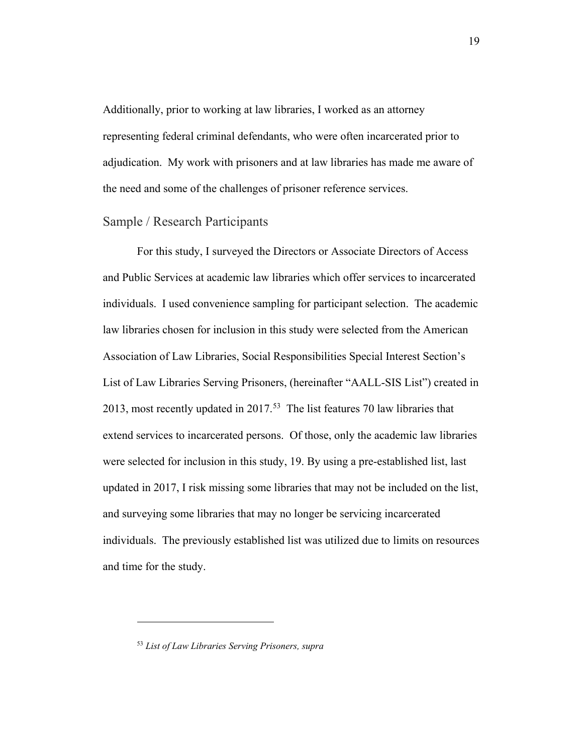Additionally, prior to working at law libraries, I worked as an attorney representing federal criminal defendants, who were often incarcerated prior to adjudication. My work with prisoners and at law libraries has made me aware of the need and some of the challenges of prisoner reference services.

#### Sample / Research Participants

For this study, I surveyed the Directors or Associate Directors of Access and Public Services at academic law libraries which offer services to incarcerated individuals. I used convenience sampling for participant selection. The academic law libraries chosen for inclusion in this study were selected from the American Association of Law Libraries, Social Responsibilities Special Interest Section's List of Law Libraries Serving Prisoners, (hereinafter "AALL-SIS List") created in 2013, most recently updated in 2017. [53](#page-20-0) The list features 70 law libraries that extend services to incarcerated persons. Of those, only the academic law libraries were selected for inclusion in this study, 19. By using a pre-established list, last updated in 2017, I risk missing some libraries that may not be included on the list, and surveying some libraries that may no longer be servicing incarcerated individuals. The previously established list was utilized due to limits on resources and time for the study.

<span id="page-20-0"></span><sup>53</sup> *List of Law Libraries Serving Prisoners, supra*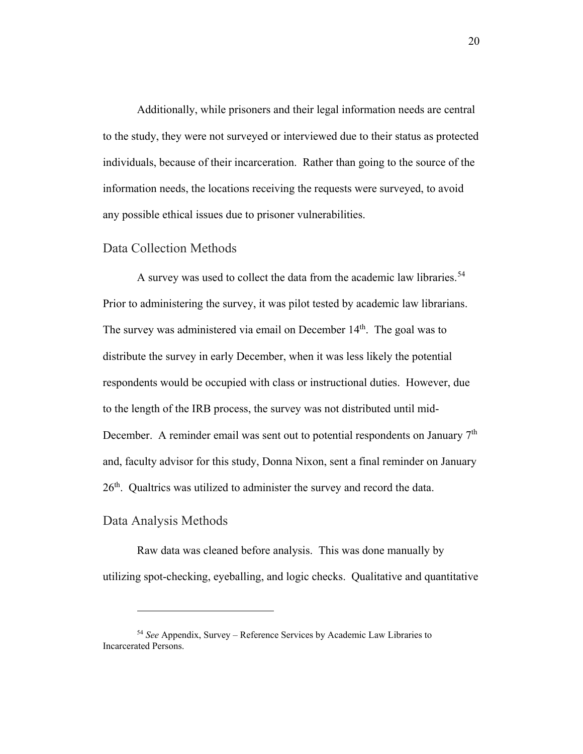Additionally, while prisoners and their legal information needs are central to the study, they were not surveyed or interviewed due to their status as protected individuals, because of their incarceration. Rather than going to the source of the information needs, the locations receiving the requests were surveyed, to avoid any possible ethical issues due to prisoner vulnerabilities.

#### Data Collection Methods

A survey was used to collect the data from the academic law libraries.<sup>54</sup> Prior to administering the survey, it was pilot tested by academic law librarians. The survey was administered via email on December  $14<sup>th</sup>$ . The goal was to distribute the survey in early December, when it was less likely the potential respondents would be occupied with class or instructional duties. However, due to the length of the IRB process, the survey was not distributed until mid-December. A reminder email was sent out to potential respondents on January 7<sup>th</sup> and, faculty advisor for this study, Donna Nixon, sent a final reminder on January  $26<sup>th</sup>$ . Qualtrics was utilized to administer the survey and record the data.

#### Data Analysis Methods

 $\overline{a}$ 

Raw data was cleaned before analysis. This was done manually by utilizing spot-checking, eyeballing, and logic checks. Qualitative and quantitative

<span id="page-21-0"></span><sup>54</sup> *See* Appendix, Survey – Reference Services by Academic Law Libraries to Incarcerated Persons.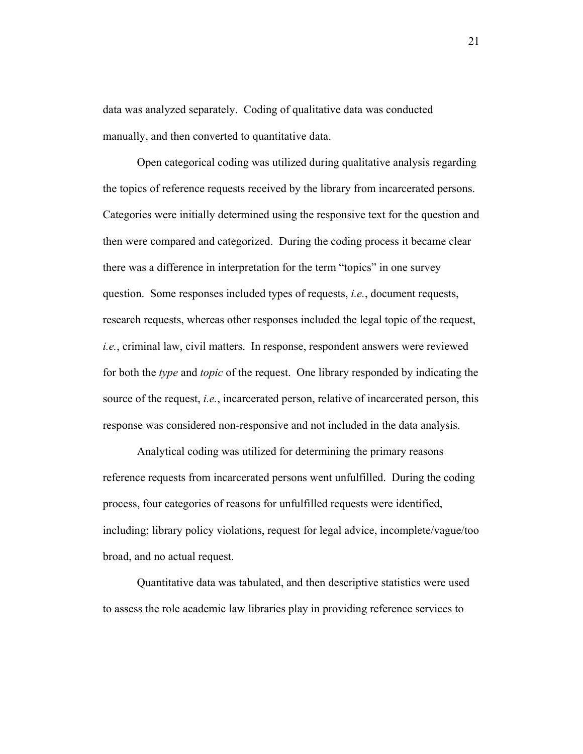data was analyzed separately. Coding of qualitative data was conducted manually, and then converted to quantitative data.

Open categorical coding was utilized during qualitative analysis regarding the topics of reference requests received by the library from incarcerated persons. Categories were initially determined using the responsive text for the question and then were compared and categorized. During the coding process it became clear there was a difference in interpretation for the term "topics" in one survey question. Some responses included types of requests, *i.e.*, document requests, research requests, whereas other responses included the legal topic of the request, *i.e.*, criminal law, civil matters. In response, respondent answers were reviewed for both the *type* and *topic* of the request. One library responded by indicating the source of the request, *i.e.*, incarcerated person, relative of incarcerated person, this response was considered non-responsive and not included in the data analysis.

Analytical coding was utilized for determining the primary reasons reference requests from incarcerated persons went unfulfilled. During the coding process, four categories of reasons for unfulfilled requests were identified, including; library policy violations, request for legal advice, incomplete/vague/too broad, and no actual request.

Quantitative data was tabulated, and then descriptive statistics were used to assess the role academic law libraries play in providing reference services to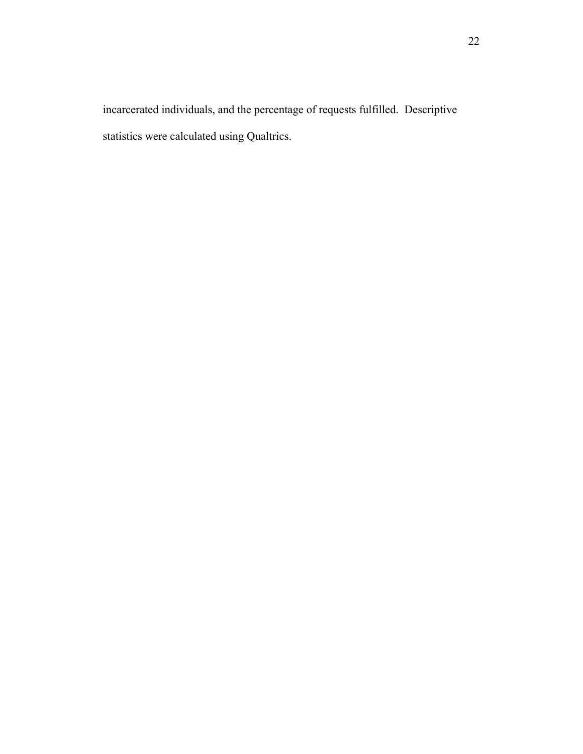incarcerated individuals, and the percentage of requests fulfilled. Descriptive statistics were calculated using Qualtrics.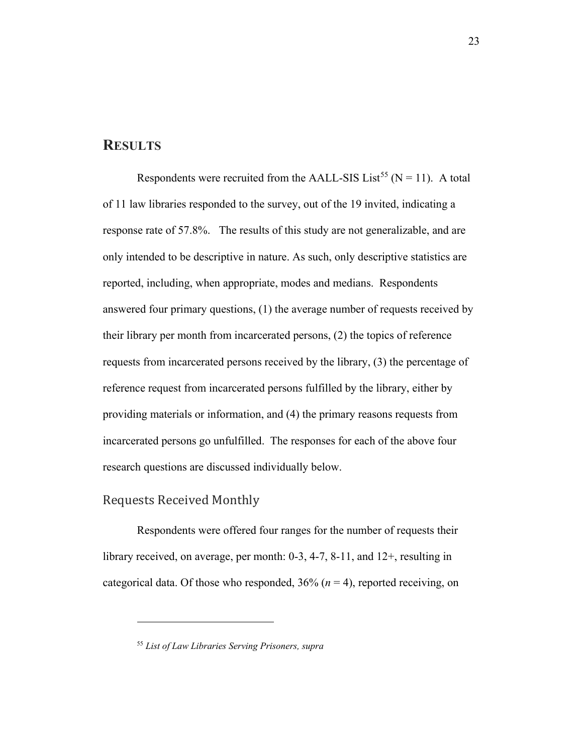## **RESULTS**

Respondents were recruited from the AALL-SIS List<sup>[55](#page-24-0)</sup> (N = 11). A total of 11 law libraries responded to the survey, out of the 19 invited, indicating a response rate of 57.8%. The results of this study are not generalizable, and are only intended to be descriptive in nature. As such, only descriptive statistics are reported, including, when appropriate, modes and medians. Respondents answered four primary questions, (1) the average number of requests received by their library per month from incarcerated persons, (2) the topics of reference requests from incarcerated persons received by the library, (3) the percentage of reference request from incarcerated persons fulfilled by the library, either by providing materials or information, and (4) the primary reasons requests from incarcerated persons go unfulfilled. The responses for each of the above four research questions are discussed individually below.

#### Requests Received Monthly

 $\overline{a}$ 

Respondents were offered four ranges for the number of requests their library received, on average, per month: 0-3, 4-7, 8-11, and 12+, resulting in categorical data. Of those who responded,  $36\%$  ( $n = 4$ ), reported receiving, on

<span id="page-24-0"></span><sup>55</sup> *List of Law Libraries Serving Prisoners, supra*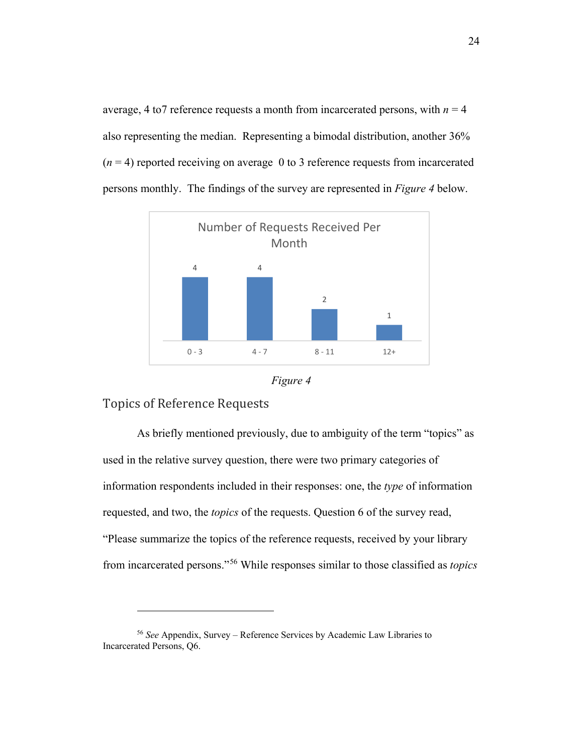average, 4 to 7 reference requests a month from incarcerated persons, with  $n = 4$ also representing the median. Representing a bimodal distribution, another 36%  $(n = 4)$  reported receiving on average 0 to 3 reference requests from incarcerated persons monthly. The findings of the survey are represented in *Figure 4* below.





## Topics of Reference Requests

 $\overline{a}$ 

As briefly mentioned previously, due to ambiguity of the term "topics" as used in the relative survey question, there were two primary categories of information respondents included in their responses: one, the *type* of information requested, and two, the *topics* of the requests. Question 6 of the survey read, "Please summarize the topics of the reference requests, received by your library from incarcerated persons."[56](#page-25-0) While responses similar to those classified as *topics*

<span id="page-25-0"></span><sup>56</sup> *See* Appendix, Survey – Reference Services by Academic Law Libraries to Incarcerated Persons, Q6.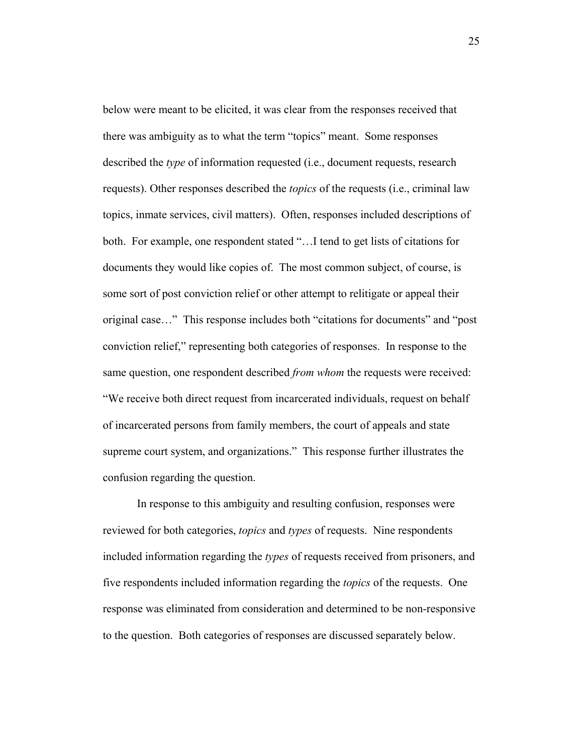below were meant to be elicited, it was clear from the responses received that there was ambiguity as to what the term "topics" meant. Some responses described the *type* of information requested (i.e., document requests, research requests). Other responses described the *topics* of the requests (i.e., criminal law topics, inmate services, civil matters). Often, responses included descriptions of both. For example, one respondent stated "…I tend to get lists of citations for documents they would like copies of. The most common subject, of course, is some sort of post conviction relief or other attempt to relitigate or appeal their original case…" This response includes both "citations for documents" and "post conviction relief," representing both categories of responses. In response to the same question, one respondent described *from whom* the requests were received: "We receive both direct request from incarcerated individuals, request on behalf of incarcerated persons from family members, the court of appeals and state supreme court system, and organizations." This response further illustrates the confusion regarding the question.

In response to this ambiguity and resulting confusion, responses were reviewed for both categories, *topics* and *types* of requests. Nine respondents included information regarding the *types* of requests received from prisoners, and five respondents included information regarding the *topics* of the requests. One response was eliminated from consideration and determined to be non-responsive to the question. Both categories of responses are discussed separately below.

25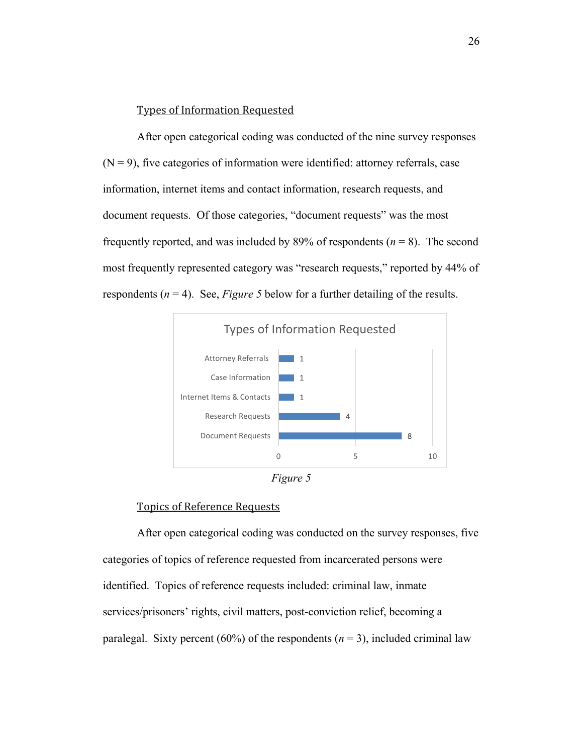#### Types of Information Requested

After open categorical coding was conducted of the nine survey responses  $(N = 9)$ , five categories of information were identified: attorney referrals, case information, internet items and contact information, research requests, and document requests. Of those categories, "document requests" was the most frequently reported, and was included by 89% of respondents  $(n = 8)$ . The second most frequently represented category was "research requests," reported by 44% of respondents  $(n = 4)$ . See, *Figure 5* below for a further detailing of the results.



*Figure 5*

#### Topics of Reference Requests

After open categorical coding was conducted on the survey responses, five categories of topics of reference requested from incarcerated persons were identified. Topics of reference requests included: criminal law, inmate services/prisoners' rights, civil matters, post-conviction relief, becoming a paralegal. Sixty percent (60%) of the respondents  $(n = 3)$ , included criminal law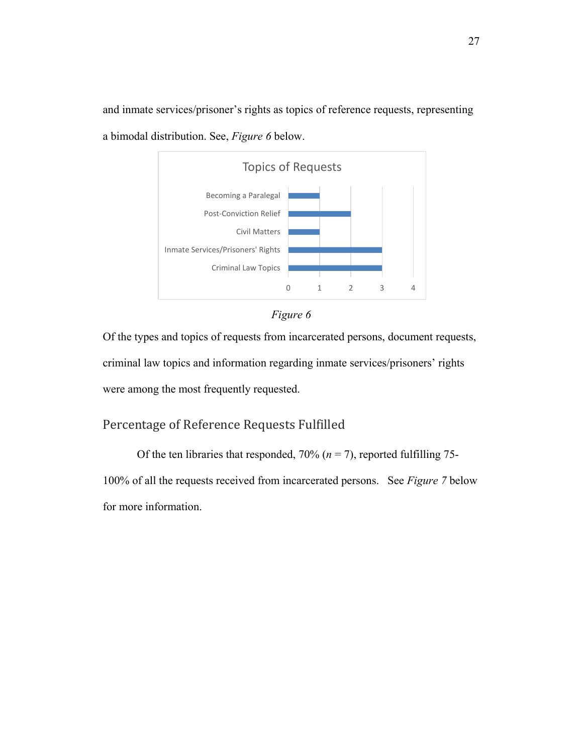and inmate services/prisoner's rights as topics of reference requests, representing a bimodal distribution. See, *Figure 6* below.





Of the types and topics of requests from incarcerated persons, document requests, criminal law topics and information regarding inmate services/prisoners' rights were among the most frequently requested.

## Percentage of Reference Requests Fulfilled

Of the ten libraries that responded,  $70\%$  ( $n = 7$ ), reported fulfilling 75-100% of all the requests received from incarcerated persons. See *Figure 7* below for more information.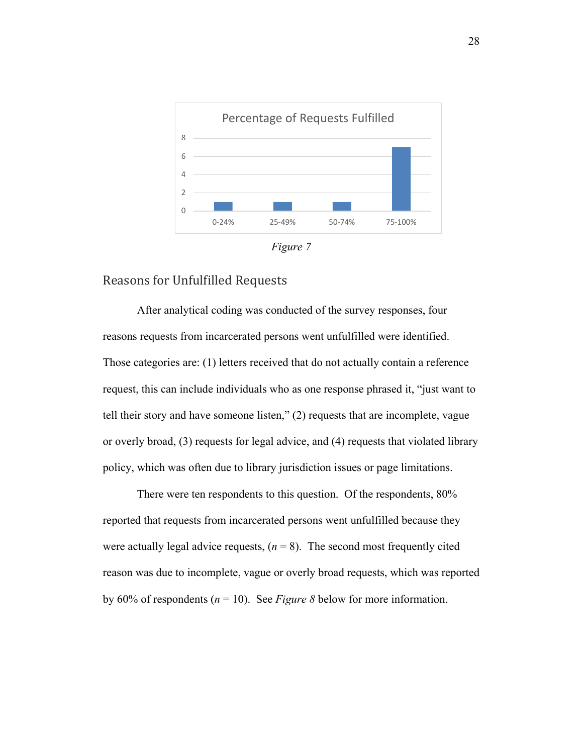



## Reasons for Unfulfilled Requests

After analytical coding was conducted of the survey responses, four reasons requests from incarcerated persons went unfulfilled were identified. Those categories are: (1) letters received that do not actually contain a reference request, this can include individuals who as one response phrased it, "just want to tell their story and have someone listen," (2) requests that are incomplete, vague or overly broad, (3) requests for legal advice, and (4) requests that violated library policy, which was often due to library jurisdiction issues or page limitations.

There were ten respondents to this question. Of the respondents, 80% reported that requests from incarcerated persons went unfulfilled because they were actually legal advice requests,  $(n = 8)$ . The second most frequently cited reason was due to incomplete, vague or overly broad requests, which was reported by 60% of respondents (*n* = 10). See *Figure 8* below for more information.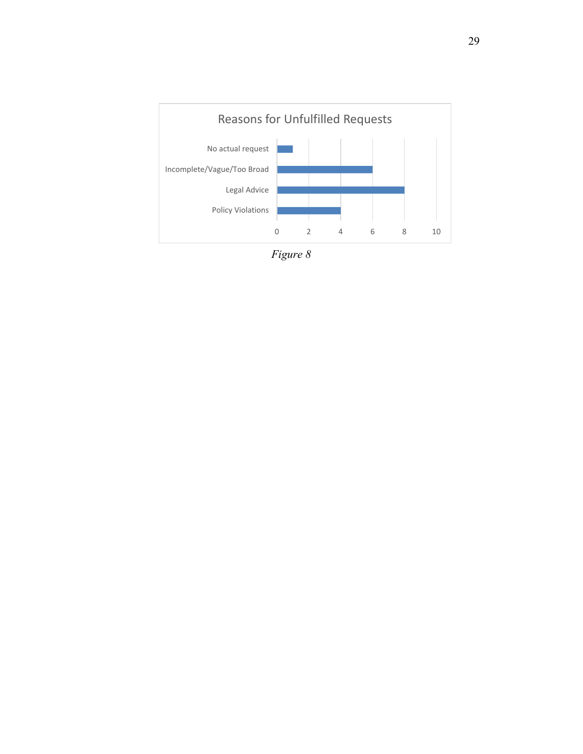

*Figure 8*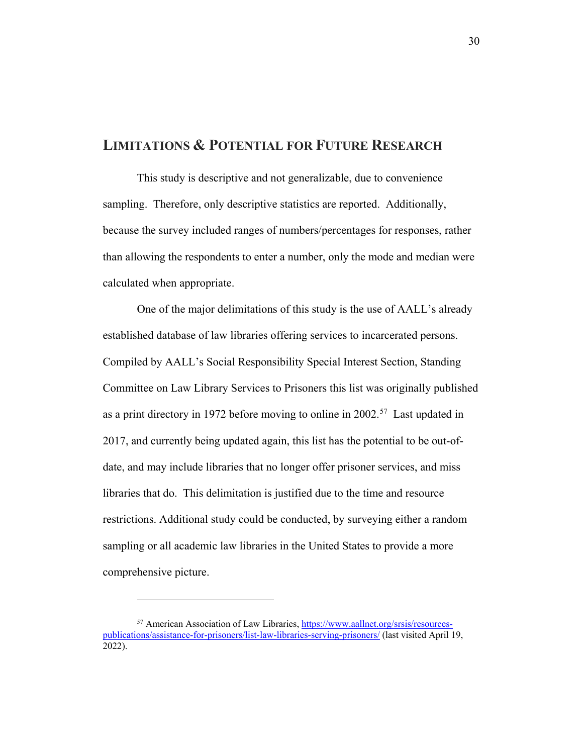## **LIMITATIONS & POTENTIAL FOR FUTURE RESEARCH**

This study is descriptive and not generalizable, due to convenience sampling. Therefore, only descriptive statistics are reported. Additionally, because the survey included ranges of numbers/percentages for responses, rather than allowing the respondents to enter a number, only the mode and median were calculated when appropriate.

One of the major delimitations of this study is the use of AALL's already established database of law libraries offering services to incarcerated persons. Compiled by AALL's Social Responsibility Special Interest Section, Standing Committee on Law Library Services to Prisoners this list was originally published as a print directory in 1972 before moving to online in  $2002<sup>57</sup>$  $2002<sup>57</sup>$  $2002<sup>57</sup>$  Last updated in 2017, and currently being updated again, this list has the potential to be out-ofdate, and may include libraries that no longer offer prisoner services, and miss libraries that do. This delimitation is justified due to the time and resource restrictions. Additional study could be conducted, by surveying either a random sampling or all academic law libraries in the United States to provide a more comprehensive picture.

<span id="page-31-0"></span><sup>&</sup>lt;sup>57</sup> American Association of Law Libraries, [https://www.aallnet.org/srsis/resources](https://www.aallnet.org/srsis/resources-publications/assistance-for-prisoners/list-law-libraries-serving-prisoners/)[publications/assistance-for-prisoners/list-law-libraries-serving-prisoners/](https://www.aallnet.org/srsis/resources-publications/assistance-for-prisoners/list-law-libraries-serving-prisoners/) (last visited April 19, 2022).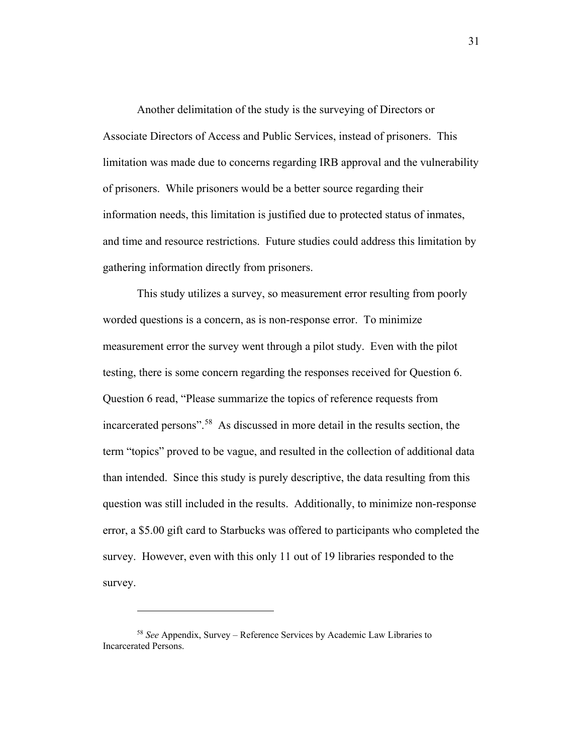Another delimitation of the study is the surveying of Directors or Associate Directors of Access and Public Services, instead of prisoners. This limitation was made due to concerns regarding IRB approval and the vulnerability of prisoners. While prisoners would be a better source regarding their information needs, this limitation is justified due to protected status of inmates, and time and resource restrictions. Future studies could address this limitation by gathering information directly from prisoners.

This study utilizes a survey, so measurement error resulting from poorly worded questions is a concern, as is non-response error. To minimize measurement error the survey went through a pilot study. Even with the pilot testing, there is some concern regarding the responses received for Question 6. Question 6 read, "Please summarize the topics of reference requests from incarcerated persons".<sup>[58](#page-32-0)</sup> As discussed in more detail in the results section, the term "topics" proved to be vague, and resulted in the collection of additional data than intended. Since this study is purely descriptive, the data resulting from this question was still included in the results. Additionally, to minimize non-response error, a \$5.00 gift card to Starbucks was offered to participants who completed the survey. However, even with this only 11 out of 19 libraries responded to the survey.

<span id="page-32-0"></span><sup>58</sup> *See* Appendix, Survey – Reference Services by Academic Law Libraries to Incarcerated Persons.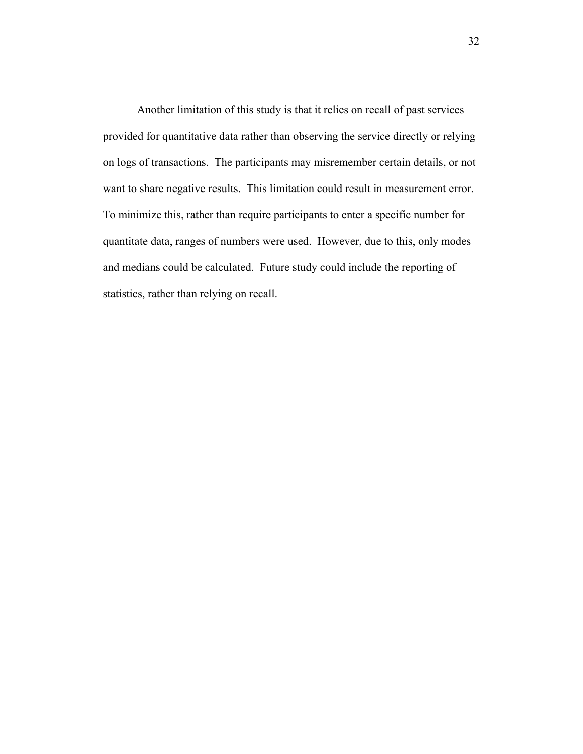Another limitation of this study is that it relies on recall of past services provided for quantitative data rather than observing the service directly or relying on logs of transactions. The participants may misremember certain details, or not want to share negative results. This limitation could result in measurement error. To minimize this, rather than require participants to enter a specific number for quantitate data, ranges of numbers were used. However, due to this, only modes and medians could be calculated. Future study could include the reporting of statistics, rather than relying on recall.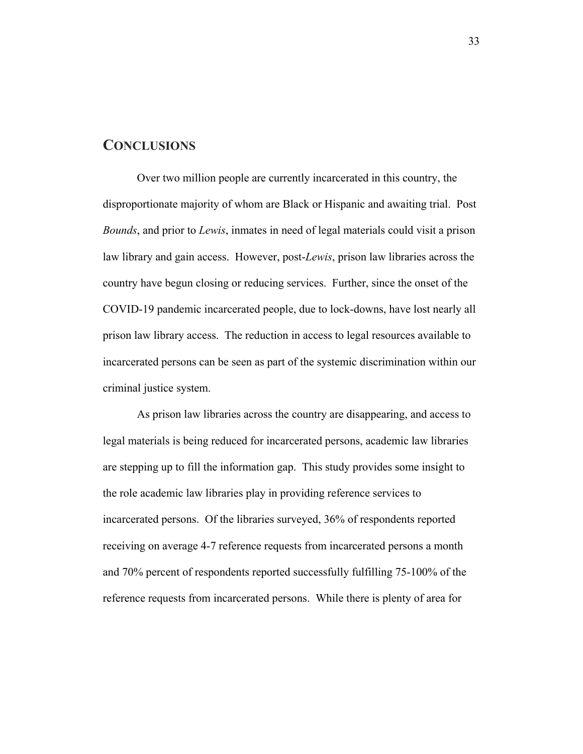## **CONCLUSIONS**

Over two million people are currently incarcerated in this country, the disproportionate majority of whom are Black or Hispanic and awaiting trial. Post *Bounds*, and prior to *Lewis*, inmates in need of legal materials could visit a prison law library and gain access. However, post-*Lewis*, prison law libraries across the country have begun closing or reducing services. Further, since the onset of the COVID-19 pandemic incarcerated people, due to lock-downs, have lost nearly all prison law library access. The reduction in access to legal resources available to incarcerated persons can be seen as part of the systemic discrimination within our criminal justice system.

As prison law libraries across the country are disappearing, and access to legal materials is being reduced for incarcerated persons, academic law libraries are stepping up to fill the information gap. This study provides some insight to the role academic law libraries play in providing reference services to incarcerated persons. Of the libraries surveyed, 36% of respondents reported receiving on average 4-7 reference requests from incarcerated persons a month and 70% percent of respondents reported successfully fulfilling 75-100% of the reference requests from incarcerated persons. While there is plenty of area for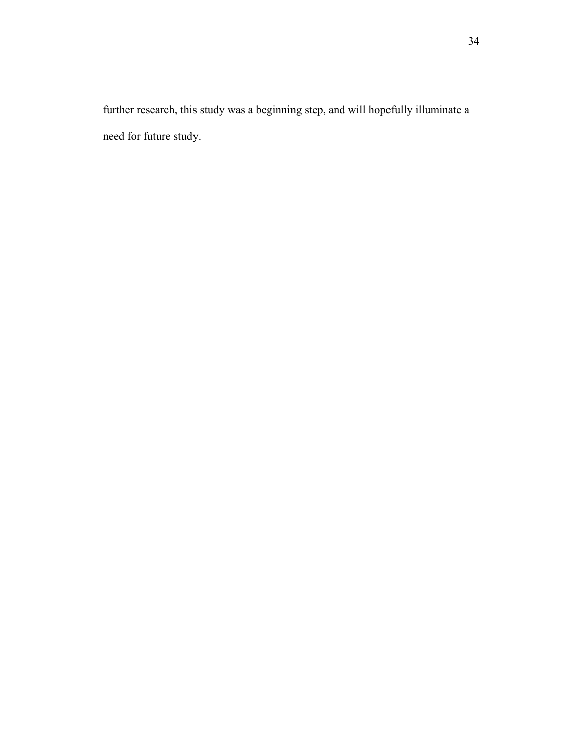further research, this study was a beginning step, and will hopefully illuminate a need for future study.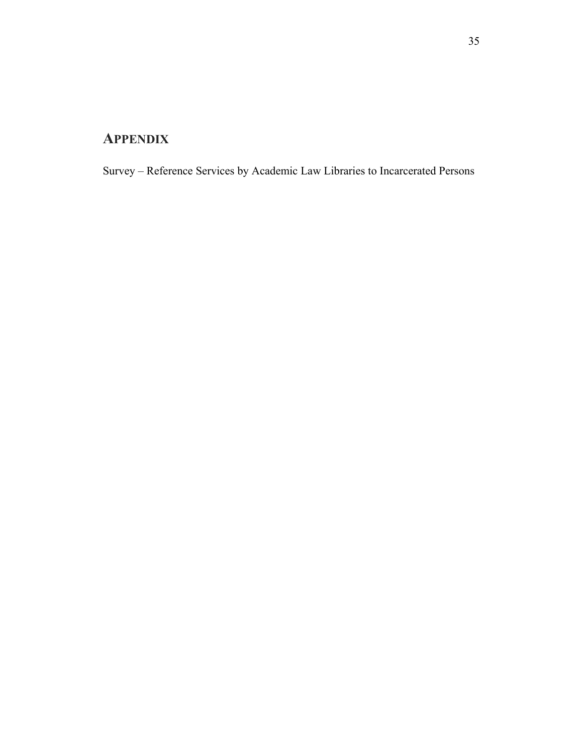## **APPENDIX**

Survey – Reference Services by Academic Law Libraries to Incarcerated Persons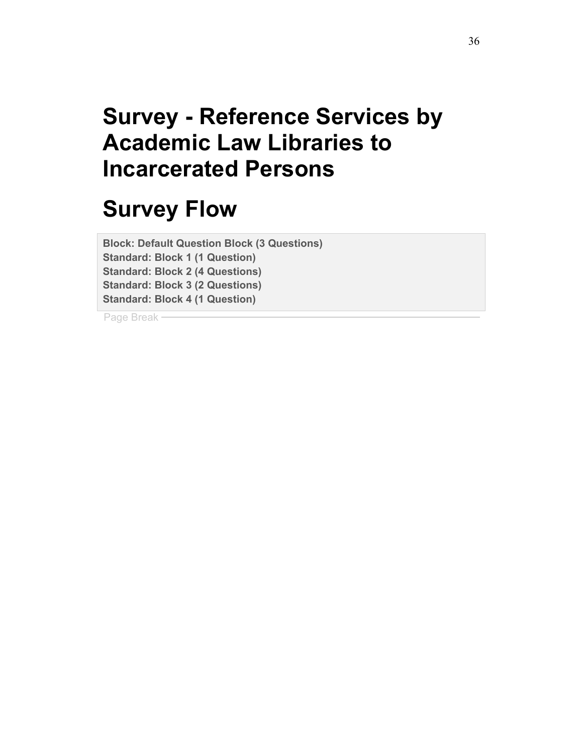# **Survey - Reference Services by Academic Law Libraries to Incarcerated Persons**

# **Survey Flow**

**Block: Default Question Block (3 Questions) Standard: Block 1 (1 Question) Standard: Block 2 (4 Questions) Standard: Block 3 (2 Questions) Standard: Block 4 (1 Question)**

Page Break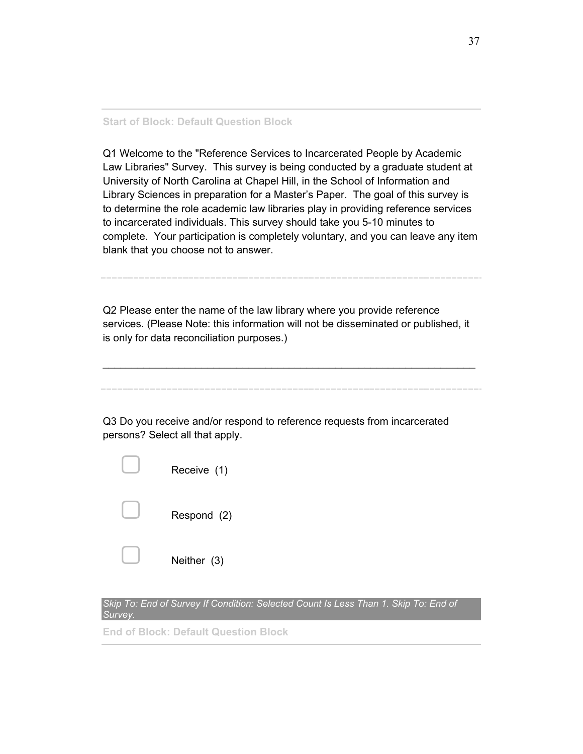#### **Start of Block: Default Question Block**

Q1 Welcome to the "Reference Services to Incarcerated People by Academic Law Libraries" Survey. This survey is being conducted by a graduate student at University of North Carolina at Chapel Hill, in the School of Information and Library Sciences in preparation for a Master's Paper. The goal of this survey is to determine the role academic law libraries play in providing reference services to incarcerated individuals. This survey should take you 5-10 minutes to complete. Your participation is completely voluntary, and you can leave any item blank that you choose not to answer.

Q2 Please enter the name of the law library where you provide reference services. (Please Note: this information will not be disseminated or published, it is only for data reconciliation purposes.)

 $\frac{1}{2}$  ,  $\frac{1}{2}$  ,  $\frac{1}{2}$  ,  $\frac{1}{2}$  ,  $\frac{1}{2}$  ,  $\frac{1}{2}$  ,  $\frac{1}{2}$  ,  $\frac{1}{2}$  ,  $\frac{1}{2}$  ,  $\frac{1}{2}$  ,  $\frac{1}{2}$  ,  $\frac{1}{2}$  ,  $\frac{1}{2}$  ,  $\frac{1}{2}$  ,  $\frac{1}{2}$  ,  $\frac{1}{2}$  ,  $\frac{1}{2}$  ,  $\frac{1}{2}$  ,  $\frac{1$ 

Q3 Do you receive and/or respond to reference requests from incarcerated

| Receive (1) |
|-------------|
| Respond (2) |
| Neither (3) |

persons? Select all that apply.

**Skip To: End of Survey If Condition: Selected Count Is Less Than 1. Skip To: End of** *Survey.*

**End of Block: Default Question Block**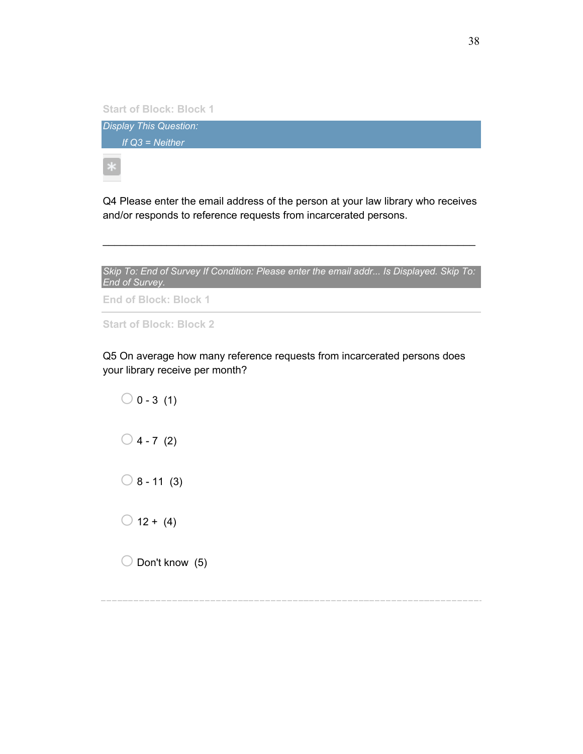**Start of Block: Block 1**

*Display This Question: If Q3 = Neither*

Q4 Please enter the email address of the person at your law library who receives and/or responds to reference requests from incarcerated persons.



 $\mathcal{L}_\text{max}$  and  $\mathcal{L}_\text{max}$  and  $\mathcal{L}_\text{max}$  and  $\mathcal{L}_\text{max}$  and  $\mathcal{L}_\text{max}$  and  $\mathcal{L}_\text{max}$ 

**End of Block: Block 1**

**Start of Block: Block 2**

Q5 On average how many reference requests from incarcerated persons does your library receive per month?

 $\bigcirc$  0 - 3 (1)  $\bigcirc$  4 - 7 (2)  $\bigcirc$  8 - 11 (3)  $\bigcirc$  12 + (4)  $\bigcirc$  Don't know (5)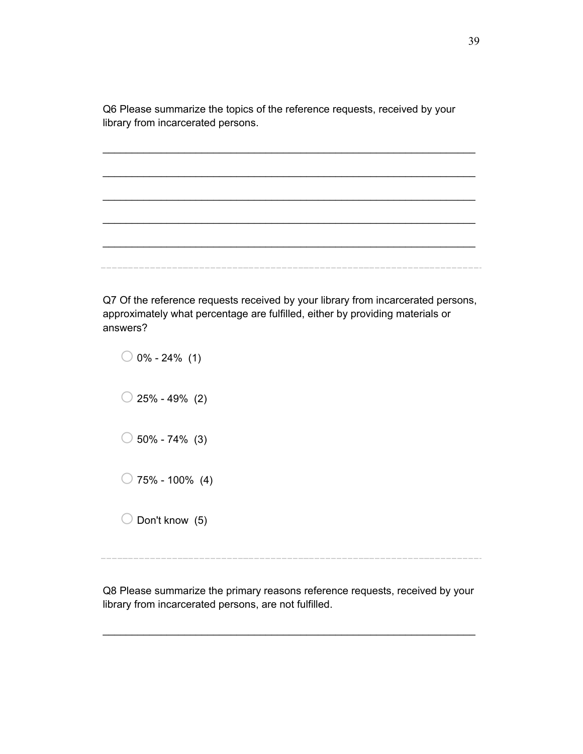Q6 Please summarize the topics of the reference requests, received by your library from incarcerated persons.

 $\frac{1}{2}$  ,  $\frac{1}{2}$  ,  $\frac{1}{2}$  ,  $\frac{1}{2}$  ,  $\frac{1}{2}$  ,  $\frac{1}{2}$  ,  $\frac{1}{2}$  ,  $\frac{1}{2}$  ,  $\frac{1}{2}$  ,  $\frac{1}{2}$  ,  $\frac{1}{2}$  ,  $\frac{1}{2}$  ,  $\frac{1}{2}$  ,  $\frac{1}{2}$  ,  $\frac{1}{2}$  ,  $\frac{1}{2}$  ,  $\frac{1}{2}$  ,  $\frac{1}{2}$  ,  $\frac{1$ 

 $\mathcal{L}_\text{max}$  and  $\mathcal{L}_\text{max}$  and  $\mathcal{L}_\text{max}$  and  $\mathcal{L}_\text{max}$  and  $\mathcal{L}_\text{max}$  and  $\mathcal{L}_\text{max}$ 

 $\frac{1}{2}$  ,  $\frac{1}{2}$  ,  $\frac{1}{2}$  ,  $\frac{1}{2}$  ,  $\frac{1}{2}$  ,  $\frac{1}{2}$  ,  $\frac{1}{2}$  ,  $\frac{1}{2}$  ,  $\frac{1}{2}$  ,  $\frac{1}{2}$  ,  $\frac{1}{2}$  ,  $\frac{1}{2}$  ,  $\frac{1}{2}$  ,  $\frac{1}{2}$  ,  $\frac{1}{2}$  ,  $\frac{1}{2}$  ,  $\frac{1}{2}$  ,  $\frac{1}{2}$  ,  $\frac{1$ 

 $\frac{1}{2}$  ,  $\frac{1}{2}$  ,  $\frac{1}{2}$  ,  $\frac{1}{2}$  ,  $\frac{1}{2}$  ,  $\frac{1}{2}$  ,  $\frac{1}{2}$  ,  $\frac{1}{2}$  ,  $\frac{1}{2}$  ,  $\frac{1}{2}$  ,  $\frac{1}{2}$  ,  $\frac{1}{2}$  ,  $\frac{1}{2}$  ,  $\frac{1}{2}$  ,  $\frac{1}{2}$  ,  $\frac{1}{2}$  ,  $\frac{1}{2}$  ,  $\frac{1}{2}$  ,  $\frac{1$ 

 $\mathcal{L}_\text{max}$  and  $\mathcal{L}_\text{max}$  and  $\mathcal{L}_\text{max}$  and  $\mathcal{L}_\text{max}$  and  $\mathcal{L}_\text{max}$  and  $\mathcal{L}_\text{max}$ 

Q7 Of the reference requests received by your library from incarcerated persons, approximately what percentage are fulfilled, either by providing materials or answers?

| $\bigcirc$ 0% - 24% (1)   |
|---------------------------|
| $\bigcirc$ 25% - 49% (2)  |
| $\bigcirc$ 50% - 74% (3)  |
| $\bigcirc$ 75% - 100% (4) |
| $\bigcirc$ Don't know (5) |

Q8 Please summarize the primary reasons reference requests, received by your library from incarcerated persons, are not fulfilled.

 $\frac{1}{2}$  ,  $\frac{1}{2}$  ,  $\frac{1}{2}$  ,  $\frac{1}{2}$  ,  $\frac{1}{2}$  ,  $\frac{1}{2}$  ,  $\frac{1}{2}$  ,  $\frac{1}{2}$  ,  $\frac{1}{2}$  ,  $\frac{1}{2}$  ,  $\frac{1}{2}$  ,  $\frac{1}{2}$  ,  $\frac{1}{2}$  ,  $\frac{1}{2}$  ,  $\frac{1}{2}$  ,  $\frac{1}{2}$  ,  $\frac{1}{2}$  ,  $\frac{1}{2}$  ,  $\frac{1$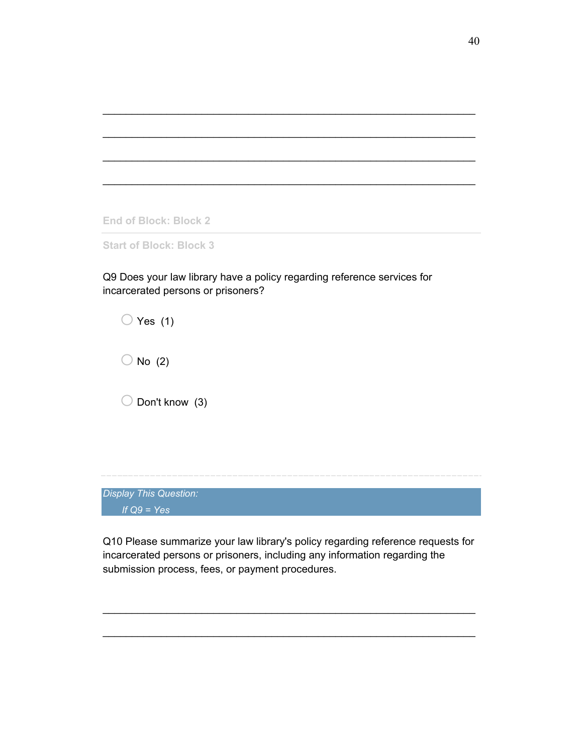**End of Block: Block 2**

**Start of Block: Block 3**

Q9 Does your law library have a policy regarding reference services for incarcerated persons or prisoners?

 $\mathcal{L}_\text{max}$  and  $\mathcal{L}_\text{max}$  and  $\mathcal{L}_\text{max}$  and  $\mathcal{L}_\text{max}$  and  $\mathcal{L}_\text{max}$  and  $\mathcal{L}_\text{max}$ 

 $\frac{1}{2}$  ,  $\frac{1}{2}$  ,  $\frac{1}{2}$  ,  $\frac{1}{2}$  ,  $\frac{1}{2}$  ,  $\frac{1}{2}$  ,  $\frac{1}{2}$  ,  $\frac{1}{2}$  ,  $\frac{1}{2}$  ,  $\frac{1}{2}$  ,  $\frac{1}{2}$  ,  $\frac{1}{2}$  ,  $\frac{1}{2}$  ,  $\frac{1}{2}$  ,  $\frac{1}{2}$  ,  $\frac{1}{2}$  ,  $\frac{1}{2}$  ,  $\frac{1}{2}$  ,  $\frac{1$ 

 $\mathcal{L}_\text{max}$  and  $\mathcal{L}_\text{max}$  and  $\mathcal{L}_\text{max}$  and  $\mathcal{L}_\text{max}$  and  $\mathcal{L}_\text{max}$  and  $\mathcal{L}_\text{max}$ 

 $\mathcal{L}_\text{max}$  and  $\mathcal{L}_\text{max}$  and  $\mathcal{L}_\text{max}$  and  $\mathcal{L}_\text{max}$  and  $\mathcal{L}_\text{max}$  and  $\mathcal{L}_\text{max}$ 

 $\bigcirc$  Yes (1)  $\bigcirc$  No (2)  $\bigcirc$  Don't know (3)

*Display This Question: If Q9 = Yes*

Q10 Please summarize your law library's policy regarding reference requests for incarcerated persons or prisoners, including any information regarding the submission process, fees, or payment procedures.

 $\mathcal{L}_\text{max}$  and  $\mathcal{L}_\text{max}$  and  $\mathcal{L}_\text{max}$  and  $\mathcal{L}_\text{max}$  and  $\mathcal{L}_\text{max}$  and  $\mathcal{L}_\text{max}$ 

 $\frac{1}{2}$  ,  $\frac{1}{2}$  ,  $\frac{1}{2}$  ,  $\frac{1}{2}$  ,  $\frac{1}{2}$  ,  $\frac{1}{2}$  ,  $\frac{1}{2}$  ,  $\frac{1}{2}$  ,  $\frac{1}{2}$  ,  $\frac{1}{2}$  ,  $\frac{1}{2}$  ,  $\frac{1}{2}$  ,  $\frac{1}{2}$  ,  $\frac{1}{2}$  ,  $\frac{1}{2}$  ,  $\frac{1}{2}$  ,  $\frac{1}{2}$  ,  $\frac{1}{2}$  ,  $\frac{1$